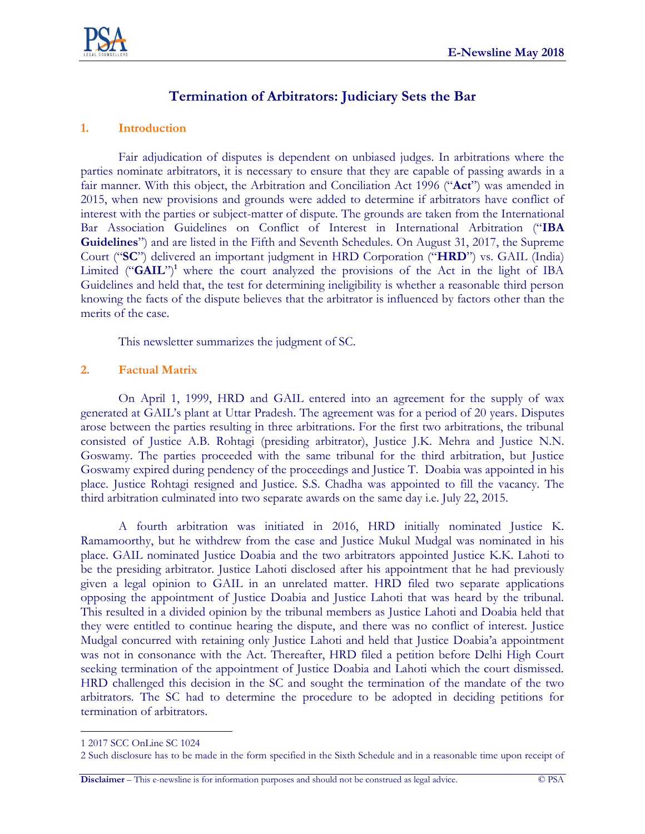# **Termination of Arbitrators: Judiciary Sets the Bar**

## **1. Introduction**

Fair adjudication of disputes is dependent on unbiased judges. In arbitrations where the parties nominate arbitrators, it is necessary to ensure that they are capable of passing awards in a fair manner. With this object, the Arbitration and Conciliation Act 1996 ("**Act**") was amended in 2015, when new provisions and grounds were added to determine if arbitrators have conflict of interest with the parties or subject-matter of dispute. The grounds are taken from the International Bar Association Guidelines on Conflict of Interest in International Arbitration ("**IBA Guidelines**") and are listed in the Fifth and Seventh Schedules. On August 31, 2017, the Supreme Court ("**SC**") delivered an important judgment in HRD Corporation ("**HRD**") vs. GAIL (India) Limited ("**GAIL**")<sup>1</sup> where the court analyzed the provisions of the Act in the light of IBA Guidelines and held that, the test for determining ineligibility is whether a reasonable third person knowing the facts of the dispute believes that the arbitrator is influenced by factors other than the merits of the case.

This newsletter summarizes the judgment of SC.

## **2. Factual Matrix**

On April 1, 1999, HRD and GAIL entered into an agreement for the supply of wax generated at GAIL's plant at Uttar Pradesh. The agreement was for a period of 20 years. Disputes arose between the parties resulting in three arbitrations. For the first two arbitrations, the tribunal consisted of Justice A.B. Rohtagi (presiding arbitrator), Justice J.K. Mehra and Justice N.N. Goswamy. The parties proceeded with the same tribunal for the third arbitration, but Justice Goswamy expired during pendency of the proceedings and Justice T. Doabia was appointed in his place. Justice Rohtagi resigned and Justice. S.S. Chadha was appointed to fill the vacancy. The third arbitration culminated into two separate awards on the same day i.e. July 22, 2015.

A fourth arbitration was initiated in 2016, HRD initially nominated Justice K. Ramamoorthy, but he withdrew from the case and Justice Mukul Mudgal was nominated in his place. GAIL nominated Justice Doabia and the two arbitrators appointed Justice K.K. Lahoti to be the presiding arbitrator. Justice Lahoti disclosed after his appointment that he had previously given a legal opinion to GAIL in an unrelated matter. HRD filed two separate applications opposing the appointment of Justice Doabia and Justice Lahoti that was heard by the tribunal. This resulted in a divided opinion by the tribunal members as Justice Lahoti and Doabia held that they were entitled to continue hearing the dispute, and there was no conflict of interest. Justice Mudgal concurred with retaining only Justice Lahoti and held that Justice Doabia'a appointment was not in consonance with the Act. Thereafter, HRD filed a petition before Delhi High Court seeking termination of the appointment of Justice Doabia and Lahoti which the court dismissed. HRD challenged this decision in the SC and sought the termination of the mandate of the two arbitrators. The SC had to determine the procedure to be adopted in deciding petitions for termination of arbitrators.

 $\overline{a}$ 1 2017 SCC OnLine SC 1024

<sup>2</sup> Such disclosure has to be made in the form specified in the Sixth Schedule and in a reasonable time upon receipt of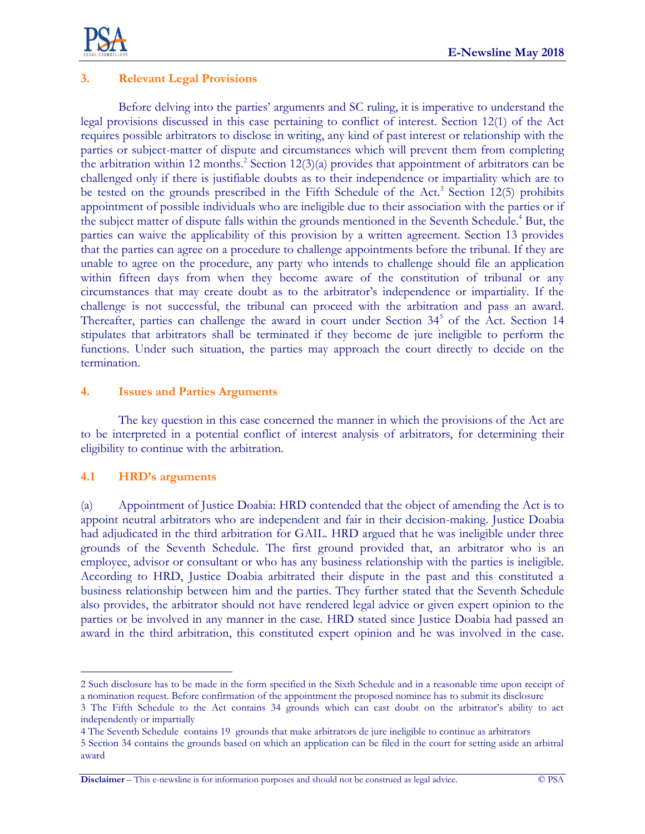

# **3. Relevant Legal Provisions**

Before delving into the parties' arguments and SC ruling, it is imperative to understand the legal provisions discussed in this case pertaining to conflict of interest. Section 12(1) of the Act requires possible arbitrators to disclose in writing, any kind of past interest or relationship with the parties or subject-matter of dispute and circumstances which will prevent them from completing the arbitration within 12 months. 2 Section 12(3)(a) provides that appointment of arbitrators can be challenged only if there is justifiable doubts as to their independence or impartiality which are to be tested on the grounds prescribed in the Fifth Schedule of the Act.<sup>3</sup> Section 12(5) prohibits appointment of possible individuals who are ineligible due to their association with the parties or if the subject matter of dispute falls within the grounds mentioned in the Seventh Schedule.<sup>4</sup> But, the parties can waive the applicability of this provision by a written agreement. Section 13 provides that the parties can agree on a procedure to challenge appointments before the tribunal. If they are unable to agree on the procedure, any party who intends to challenge should file an application within fifteen days from when they become aware of the constitution of tribunal or any circumstances that may create doubt as to the arbitrator's independence or impartiality. If the challenge is not successful, the tribunal can proceed with the arbitration and pass an award. Thereafter, parties can challenge the award in court under Section 34<sup>5</sup> of the Act. Section 14 stipulates that arbitrators shall be terminated if they become de jure ineligible to perform the functions. Under such situation, the parties may approach the court directly to decide on the termination.

## **4. Issues and Parties Arguments**

The key question in this case concerned the manner in which the provisions of the Act are to be interpreted in a potential conflict of interest analysis of arbitrators, for determining their eligibility to continue with the arbitration.

## **4.1 HRD's arguments**

 $\overline{a}$ 

award

(a) Appointment of Justice Doabia: HRD contended that the object of amending the Act is to appoint neutral arbitrators who are independent and fair in their decision-making. Justice Doabia had adjudicated in the third arbitration for GAIL. HRD argued that he was ineligible under three grounds of the Seventh Schedule. The first ground provided that, an arbitrator who is an employee, advisor or consultant or who has any business relationship with the parties is ineligible. According to HRD, Justice Doabia arbitrated their dispute in the past and this constituted a business relationship between him and the parties. They further stated that the Seventh Schedule also provides, the arbitrator should not have rendered legal advice or given expert opinion to the parties or be involved in any manner in the case. HRD stated since Justice Doabia had passed an award in the third arbitration, this constituted expert opinion and he was involved in the case.

<sup>2</sup> Such disclosure has to be made in the form specified in the Sixth Schedule and in a reasonable time upon receipt of a nomination request. Before confirmation of the appointment the proposed nominee has to submit its disclosure

<sup>3</sup> The Fifth Schedule to the Act contains 34 grounds which can cast doubt on the arbitrator's ability to act independently or impartially

<sup>4</sup> The Seventh Schedule contains 19 grounds that make arbitrators de jure ineligible to continue as arbitrators 5 Section 34 contains the grounds based on which an application can be filed in the court for setting aside an arbitral

**Disclaimer** – This e-newsline is for information purposes and should not be construed as legal advice. © PSA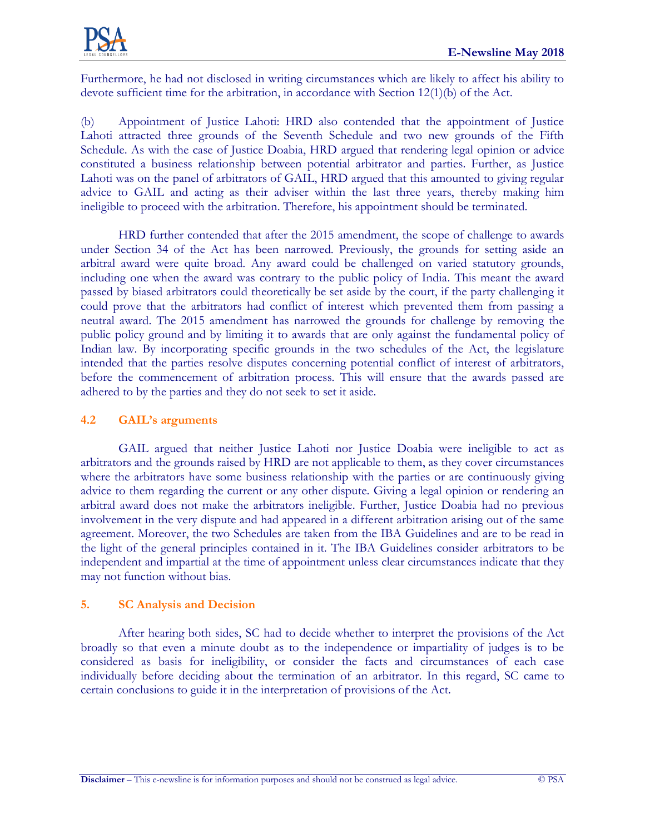

Furthermore, he had not disclosed in writing circumstances which are likely to affect his ability to devote sufficient time for the arbitration, in accordance with Section 12(1)(b) of the Act.

(b) Appointment of Justice Lahoti: HRD also contended that the appointment of Justice Lahoti attracted three grounds of the Seventh Schedule and two new grounds of the Fifth Schedule. As with the case of Justice Doabia, HRD argued that rendering legal opinion or advice constituted a business relationship between potential arbitrator and parties. Further, as Justice Lahoti was on the panel of arbitrators of GAIL, HRD argued that this amounted to giving regular advice to GAIL and acting as their adviser within the last three years, thereby making him ineligible to proceed with the arbitration. Therefore, his appointment should be terminated.

HRD further contended that after the 2015 amendment, the scope of challenge to awards under Section 34 of the Act has been narrowed. Previously, the grounds for setting aside an arbitral award were quite broad. Any award could be challenged on varied statutory grounds, including one when the award was contrary to the public policy of India. This meant the award passed by biased arbitrators could theoretically be set aside by the court, if the party challenging it could prove that the arbitrators had conflict of interest which prevented them from passing a neutral award. The 2015 amendment has narrowed the grounds for challenge by removing the public policy ground and by limiting it to awards that are only against the fundamental policy of Indian law. By incorporating specific grounds in the two schedules of the Act, the legislature intended that the parties resolve disputes concerning potential conflict of interest of arbitrators, before the commencement of arbitration process. This will ensure that the awards passed are adhered to by the parties and they do not seek to set it aside.

## **4.2 GAIL's arguments**

GAIL argued that neither Justice Lahoti nor Justice Doabia were ineligible to act as arbitrators and the grounds raised by HRD are not applicable to them, as they cover circumstances where the arbitrators have some business relationship with the parties or are continuously giving advice to them regarding the current or any other dispute. Giving a legal opinion or rendering an arbitral award does not make the arbitrators ineligible. Further, Justice Doabia had no previous involvement in the very dispute and had appeared in a different arbitration arising out of the same agreement. Moreover, the two Schedules are taken from the IBA Guidelines and are to be read in the light of the general principles contained in it. The IBA Guidelines consider arbitrators to be independent and impartial at the time of appointment unless clear circumstances indicate that they may not function without bias.

## **5. SC Analysis and Decision**

After hearing both sides, SC had to decide whether to interpret the provisions of the Act broadly so that even a minute doubt as to the independence or impartiality of judges is to be considered as basis for ineligibility, or consider the facts and circumstances of each case individually before deciding about the termination of an arbitrator. In this regard, SC came to certain conclusions to guide it in the interpretation of provisions of the Act.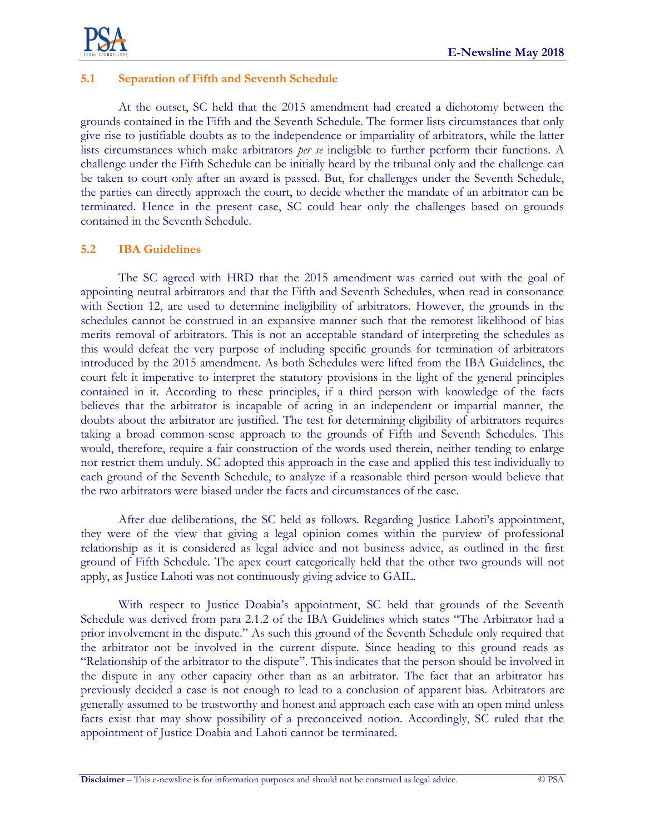

## **5.1 Separation of Fifth and Seventh Schedule**

At the outset, SC held that the 2015 amendment had created a dichotomy between the grounds contained in the Fifth and the Seventh Schedule. The former lists circumstances that only give rise to justifiable doubts as to the independence or impartiality of arbitrators, while the latter lists circumstances which make arbitrators *per se* ineligible to further perform their functions. A challenge under the Fifth Schedule can be initially heard by the tribunal only and the challenge can be taken to court only after an award is passed. But, for challenges under the Seventh Schedule, the parties can directly approach the court, to decide whether the mandate of an arbitrator can be terminated. Hence in the present case, SC could hear only the challenges based on grounds contained in the Seventh Schedule.

## **5.2 IBA Guidelines**

The SC agreed with HRD that the 2015 amendment was carried out with the goal of appointing neutral arbitrators and that the Fifth and Seventh Schedules, when read in consonance with Section 12, are used to determine ineligibility of arbitrators. However, the grounds in the schedules cannot be construed in an expansive manner such that the remotest likelihood of bias merits removal of arbitrators. This is not an acceptable standard of interpreting the schedules as this would defeat the very purpose of including specific grounds for termination of arbitrators introduced by the 2015 amendment. As both Schedules were lifted from the IBA Guidelines, the court felt it imperative to interpret the statutory provisions in the light of the general principles contained in it. According to these principles, if a third person with knowledge of the facts believes that the arbitrator is incapable of acting in an independent or impartial manner, the doubts about the arbitrator are justified. The test for determining eligibility of arbitrators requires taking a broad common-sense approach to the grounds of Fifth and Seventh Schedules. This would, therefore, require a fair construction of the words used therein, neither tending to enlarge nor restrict them unduly. SC adopted this approach in the case and applied this test individually to each ground of the Seventh Schedule, to analyze if a reasonable third person would believe that the two arbitrators were biased under the facts and circumstances of the case.

After due deliberations, the SC held as follows. Regarding Justice Lahoti's appointment, they were of the view that giving a legal opinion comes within the purview of professional relationship as it is considered as legal advice and not business advice, as outlined in the first ground of Fifth Schedule. The apex court categorically held that the other two grounds will not apply, as Justice Lahoti was not continuously giving advice to GAIL.

With respect to Justice Doabia's appointment, SC held that grounds of the Seventh Schedule was derived from para 2.1.2 of the IBA Guidelines which states "The Arbitrator had a prior involvement in the dispute." As such this ground of the Seventh Schedule only required that the arbitrator not be involved in the current dispute. Since heading to this ground reads as "Relationship of the arbitrator to the dispute". This indicates that the person should be involved in the dispute in any other capacity other than as an arbitrator. The fact that an arbitrator has previously decided a case is not enough to lead to a conclusion of apparent bias. Arbitrators are generally assumed to be trustworthy and honest and approach each case with an open mind unless facts exist that may show possibility of a preconceived notion. Accordingly, SC ruled that the appointment of Justice Doabia and Lahoti cannot be terminated.